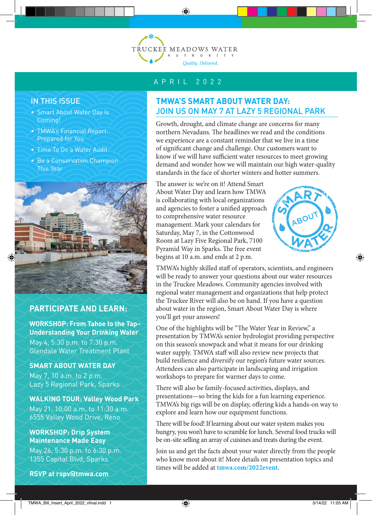

### IN THIS ISSUE

- Smart About Water Day Is Coming!
- TMWA's Financial Report: Prepared for You
- Time To Do a Water Audit
- Be a Conservation Champion This Year



## **PARTICIPATE AND LEARN:**

**WORKSHOP: From Tahoe to the Tap– Understanding Your Drinking Water** May 4, 5:30 p.m. to 7:30 p.m. Glendale Water Treatment Plant

#### **SMART ABOUT WATER DAY**

May 7, 10 a.m. to 2 p.m. Lazy 5 Regional Park, Sparks

#### **WALKING TOUR: Valley Wood Park**

May 21, 10:00 a.m. to 11:30 a.m. 6555 Valley Wood Drive, Reno

#### **WORKSHOP: Drip System Maintenance Made Easy**

May 26, 5:30 p.m. to 6:30 p.m. 1355 Capital Blvd, Sparks

**RSVP at rspv@tmwa.com**

### APRIL 2022

# **TMWA'S SMART ABOUT WATER DAY:**  JOIN US ON MAY 7 AT LAZY 5 REGIONAL PARK

Growth, drought, and climate change are concerns for many northern Nevadans. The headlines we read and the conditions we experience are a constant reminder that we live in a time of significant change and challenge. Our customers want to know if we will have sufficient water resources to meet growing demand and wonder how we will maintain our high water-quality standards in the face of shorter winters and hotter summers.

The answer is: we're on it! Attend Smart About Water Day and learn how TMWA is collaborating with local organizations and agencies to foster a unified approach to comprehensive water resource management. Mark your calendars for Saturday, May 7, in the Cottonwood Room at Lazy Five Regional Park, 7100 Pyramid Way in Sparks. The free event begins at 10 a.m. and ends at 2 p.m.



TMWA's highly skilled staff of operators, scientists, and engineers will be ready to answer your questions about our water resources in the Truckee Meadows. Community agencies involved with regional water management and organizations that help protect the Truckee River will also be on hand. If you have a question about water in the region, Smart About Water Day is where you'll get your answers!

One of the highlights will be "The Water Year in Review," a presentation by TMWA's senior hydrologist providing perspective on this season's snowpack and what it means for our drinking water supply. TMWA staff will also review new projects that build resilience and diversify our region's future water sources. Attendees can also participate in landscaping and irrigation workshops to prepare for warmer days to come.

There will also be family-focused activities, displays, and presentations—so bring the kids for a fun learning experience. TMWA's big rigs will be on display, offering kids a hands-on way to explore and learn how our equipment functions.

There will be food! If learning about our water system makes you hungry, you won't have to scramble for lunch. Several food trucks will be on-site selling an array of cuisines and treats during the event.

Join us and get the facts about your water directly from the people who know most about it! More details on presentation topics and times will be added at **tmwa.com/2022event**.